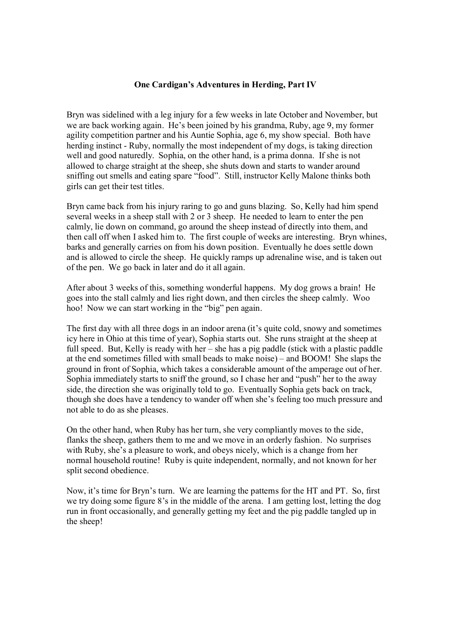## **One Cardigan's Adventures in Herding, Part IV**

Bryn was sidelined with a leg injury for a few weeks in late October and November, but we are back working again. He's been joined by his grandma, Ruby, age 9, my former agility competition partner and his Auntie Sophia, age 6, my show special. Both have herding instinct - Ruby, normally the most independent of my dogs, is taking direction well and good naturedly. Sophia, on the other hand, is a prima donna. If she is not allowed to charge straight at the sheep, she shuts down and starts to wander around sniffing out smells and eating spare "food". Still, instructor Kelly Malone thinks both girls can get their test titles.

Bryn came back from his injury raring to go and guns blazing. So, Kelly had him spend several weeks in a sheep stall with 2 or 3 sheep. He needed to learn to enter the pen calmly, lie down on command, go around the sheep instead of directly into them, and then call off when I asked him to. The first couple of weeks are interesting. Bryn whines, barks and generally carries on from his down position. Eventually he does settle down and is allowed to circle the sheep. He quickly ramps up adrenaline wise, and is taken out of the pen. We go back in later and do it all again.

After about 3 weeks of this, something wonderful happens. My dog grows a brain! He goes into the stall calmly and lies right down, and then circles the sheep calmly. Woo hoo! Now we can start working in the "big" pen again.

The first day with all three dogs in an indoor arena (it's quite cold, snowy and sometimes icy here in Ohio at this time of year), Sophia starts out. She runs straight at the sheep at full speed. But, Kelly is ready with her – she has a pig paddle (stick with a plastic paddle at the end sometimes filled with small beads to make noise) – and BOOM! She slaps the ground in front of Sophia, which takes a considerable amount of the amperage out of her. Sophia immediately starts to sniff the ground, so I chase her and "push" her to the away side, the direction she was originally told to go. Eventually Sophia gets back on track, though she does have a tendency to wander off when she's feeling too much pressure and not able to do as she pleases.

On the other hand, when Ruby has her turn, she very compliantly moves to the side, flanks the sheep, gathers them to me and we move in an orderly fashion. No surprises with Ruby, she's a pleasure to work, and obeys nicely, which is a change from her normal household routine! Ruby is quite independent, normally, and not known for her split second obedience.

Now, it's time for Bryn's turn. We are learning the patterns for the HT and PT. So, first we try doing some figure 8's in the middle of the arena. I am getting lost, letting the dog run in front occasionally, and generally getting my feet and the pig paddle tangled up in the sheep!